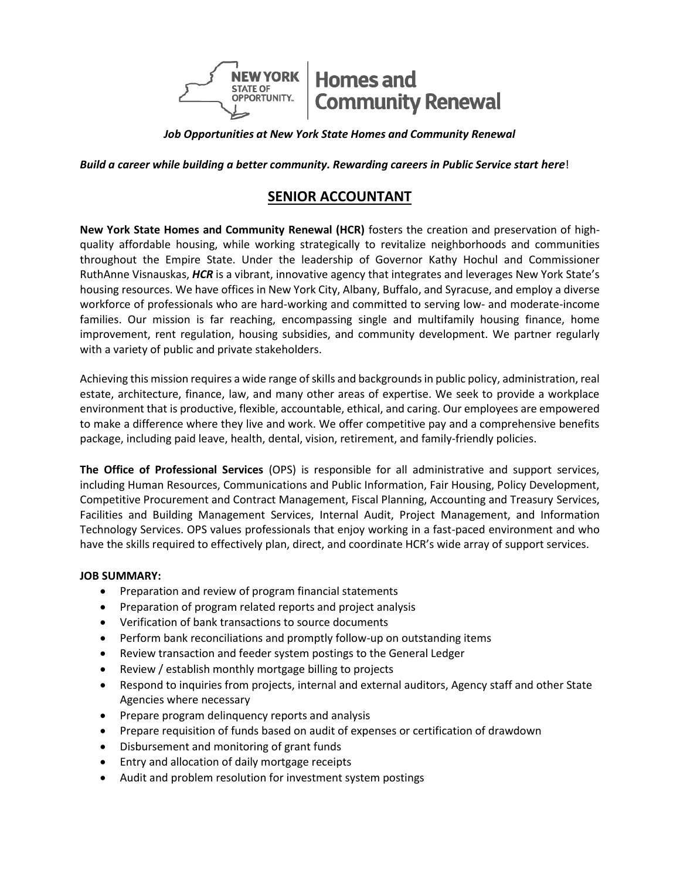

*Job Opportunities at New York State Homes and Community Renewal*

*Build a career while building a better community. Rewarding careers in Public Service start here*!

# **SENIOR ACCOUNTANT**

**New York State Homes and Community Renewal (HCR)** fosters the creation and preservation of highquality affordable housing, while working strategically to revitalize neighborhoods and communities throughout the Empire State. Under the leadership of Governor Kathy Hochul and Commissioner RuthAnne Visnauskas, *HCR* is a vibrant, innovative agency that integrates and leverages New York State's housing resources. We have offices in New York City, Albany, Buffalo, and Syracuse, and employ a diverse workforce of professionals who are hard-working and committed to serving low- and moderate-income families. Our mission is far reaching, encompassing single and multifamily housing finance, home improvement, rent regulation, housing subsidies, and community development. We partner regularly with a variety of public and private stakeholders.

Achieving this mission requires a wide range of skills and backgrounds in public policy, administration, real estate, architecture, finance, law, and many other areas of expertise. We seek to provide a workplace environment that is productive, flexible, accountable, ethical, and caring. Our employees are empowered to make a difference where they live and work. We offer competitive pay and a comprehensive benefits package, including paid leave, health, dental, vision, retirement, and family-friendly policies.

**The Office of Professional Services** (OPS) is responsible for all administrative and support services, including Human Resources, Communications and Public Information, Fair Housing, Policy Development, Competitive Procurement and Contract Management, Fiscal Planning, Accounting and Treasury Services, Facilities and Building Management Services, Internal Audit, Project Management, and Information Technology Services. OPS values professionals that enjoy working in a fast-paced environment and who have the skills required to effectively plan, direct, and coordinate HCR's wide array of support services.

#### **JOB SUMMARY:**

- Preparation and review of program financial statements
- Preparation of program related reports and project analysis
- Verification of bank transactions to source documents
- Perform bank reconciliations and promptly follow-up on outstanding items
- Review transaction and feeder system postings to the General Ledger
- Review / establish monthly mortgage billing to projects
- Respond to inquiries from projects, internal and external auditors, Agency staff and other State Agencies where necessary
- Prepare program delinquency reports and analysis
- Prepare requisition of funds based on audit of expenses or certification of drawdown
- Disbursement and monitoring of grant funds
- Entry and allocation of daily mortgage receipts
- Audit and problem resolution for investment system postings